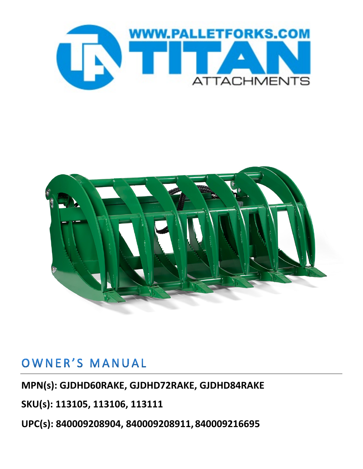



## OWNER'S MANUAL

#### **MPN(s): GJDHD60RAKE, GJDHD72RAKE, GJDHD84RAKE**

**SKU(s): 113105, 113106, 113111**

**UPC(s): 840009208904, 840009208911, 840009216695**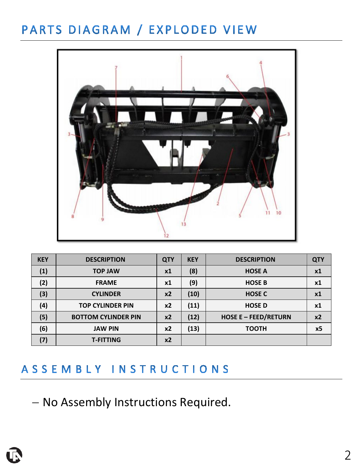## PARTS DIAGRAM / EXPLODED VIEW



| <b>KEY</b> | <b>DESCRIPTION</b>         | <b>QTY</b> | <b>KEY</b> | <b>DESCRIPTION</b>          | <b>QTY</b> |
|------------|----------------------------|------------|------------|-----------------------------|------------|
| (1)        | <b>TOP JAW</b>             | x1         | (8)        | <b>HOSE A</b>               | x1         |
| (2)        | <b>FRAME</b>               | <b>x1</b>  | (9)        | <b>HOSE B</b>               | x1         |
| (3)        | <b>CYLINDER</b>            | $x^2$      | (10)       | <b>HOSE C</b>               | x1         |
| (4)        | <b>TOP CYLINDER PIN</b>    | x2         | (11)       | <b>HOSED</b>                | <b>x1</b>  |
| (5)        | <b>BOTTOM CYLINDER PIN</b> | $x^2$      | (12)       | <b>HOSE E - FEED/RETURN</b> | x2         |
| (6)        | <b>JAW PIN</b>             | x2         | (13)       | <b>TOOTH</b>                | x5         |
| (7)        | <b>T-FITTING</b>           | x2         |            |                             |            |

### ASSEMBLY INSTRUCTIONS

− No Assembly Instructions Required.